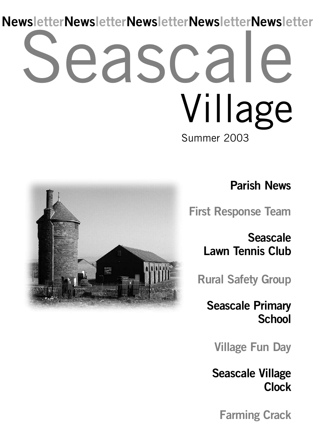# eascale Summer 2003 Village **NewsletterNewsletterNewsletterNewsletterNewsletter**



**First Response Team**

**Seascale Lawn Tennis Club**

**Rural Safety Group**

**Seascale Primary School**

**Village Fun Day**

**Seascale Village Clock**

**Farming Crack**

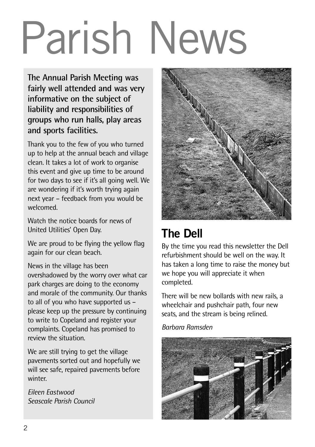# Parish News

**The Annual Parish Meeting was fairly well attended and was very informative on the subject of liability and responsibilities of groups who run halls, play areas and sports facilities.**

Thank you to the few of you who turned up to help at the annual beach and village clean. It takes a lot of work to organise this event and give up time to be around for two days to see if it's all going well. We are wondering if it's worth trying again next year – feedback from you would be welcomed.

Watch the notice boards for news of United Utilities' Open Day.

We are proud to be flying the yellow flag again for our clean beach.

News in the village has been overshadowed by the worry over what car park charges are doing to the economy and morale of the community. Our thanks to all of you who have supported us – please keep up the pressure by continuing to write to Copeland and register your complaints. Copeland has promised to review the situation.

We are still trying to get the village pavements sorted out and hopefully we will see safe, repaired pavements before winter.

*Eileen Eastwood Seascale Parish Council*



### **The Dell**

By the time you read this newsletter the Dell refurbishment should be well on the way. It has taken a long time to raise the money but we hope you will appreciate it when completed.

There will be new bollards with new rails, a wheelchair and pushchair path, four new seats, and the stream is being relined.

*Barbara Ramsden*

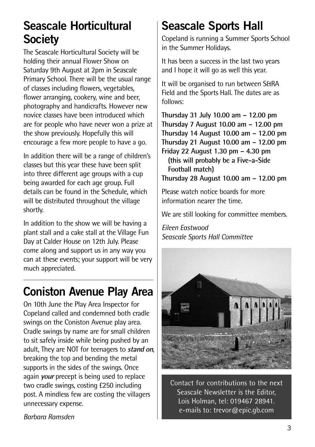### **Seascale Horticultural Society**

The Seascale Horticultural Society will be holding their annual Flower Show on Saturday 9th August at 2pm in Seascale Primary School. There will be the usual range of classes including flowers, vegetables, flower arranging, cookery, wine and beer, photography and handicrafts. However new novice classes have been introduced which are for people who have never won a prize at the show previously. Hopefully this will encourage a few more people to have a go.

In addition there will be a range of children's classes but this year these have been split into three different age groups with a cup being awarded for each age group. Full details can be found in the Schedule, which will be distributed throughout the village shortly.

In addition to the show we will be having a plant stall and a cake stall at the Village Fun Day at Calder House on 12th July. Please come along and support us in any way you can at these events; your support will be very much appreciated.

### **Coniston Avenue Play Area**

On 10th June the Play Area Inspector for Copeland called and condemned both cradle swings on the Coniston Avenue play area. Cradle swings by name are for small children to sit safely inside while being pushed by an adult, They are NOT for teenagers to **stand on**, breaking the top and bending the metal supports in the sides of the swings. Once again **your** precept is being used to replace two cradle swings, costing £250 including post. A mindless few are costing the villagers unnecessary expense.

### **Seascale Sports Hall**

Copeland is running a Summer Sports School in the Summer Holidays.

It has been a success in the last two years and I hope it will go as well this year.

It will be organised to run between S&RA Field and the Sports Hall. The dates are as follows:

**Thursday 31 July 10.00 am – 12.00 pm Thursday 7 August 10.00 am – 12.00 pm Thursday 14 August 10.00 am – 12.00 pm Thursday 21 August 10.00 am – 12.00 pm Friday 22 August 1.30 pm – 4.30 pm (this will probably be a Five-a-Side Football match) Thursday 28 August 10.00 am – 12.00 pm**

Please watch notice boards for more information nearer the time.

We are still looking for committee members.

*Eileen Eastwood Seascale Sports Hall Committee*



Contact for contributions to the next Seascale Newsletter is the Editor, Lois Holman, tel: 019467 28941. e-mails to: trevor@epic.gb.com

*Barbara Ramsden*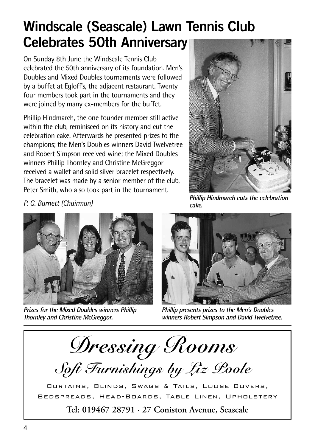# **Windscale (Seascale) Lawn Tennis Club Celebrates 50th Anniversary**

On Sunday 8th June the Windscale Tennis Club celebrated the 50th anniversary of its foundation. Men's Doubles and Mixed Doubles tournaments were followed by a buffet at Egloff's, the adjacent restaurant. Twenty four members took part in the tournaments and they were joined by many ex-members for the buffet.

Phillip Hindmarch, the one founder member still active within the club, reminisced on its history and cut the celebration cake. Afterwards he presented prizes to the champions; the Men's Doubles winners David Twelvetree and Robert Simpson received wine; the Mixed Doubles winners Phillip Thornley and Christine McGreggor received a wallet and solid silver bracelet respectively. The bracelet was made by a senior member of the club, Peter Smith, who also took part in the tournament.



*P. G. Barnett (Chairman)*



**Prizes for the Mixed Doubles winners Phillip Thornley and Christine McGreggor.**

**Phillip Hindmarch cuts the celebration cake.**



**Phillip presents prizes to the Men's Doubles winners Robert Simpson and David Twelvetree.**

*Dressing Rooms*

*Soft Furnishings by Liz Poole*

Curtains, Blinds, Swags & Tails, Loose Covers, Bedspreads, Head-Boards, Table Linen, Upholstery

**Tel: 019467 28791 · 27 Coniston Avenue, Seascale**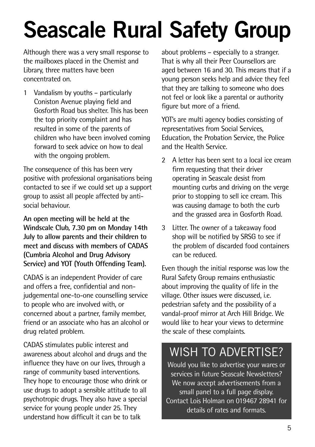# **Seascale Rural Safety Group**

Although there was a very small response to the mailboxes placed in the Chemist and Library, three matters have been concentrated on.

1 Vandalism by youths – particularly Coniston Avenue playing field and Gosforth Road bus shelter. This has been the top priority complaint and has resulted in some of the parents of children who have been involved coming forward to seek advice on how to deal with the ongoing problem.

The consequence of this has been very positive with professional organisations being contacted to see if we could set up a support group to assist all people affected by antisocial behaviour.

**An open meeting will be held at the Windscale Club, 7.30 pm on Monday 14th July to allow parents and their children to meet and discuss with members of CADAS (Cumbria Alcohol and Drug Advisory Service) and YOT (Youth Offending Team).**

CADAS is an independent Provider of care and offers a free, confidential and nonjudgemental one-to-one counselling service to people who are involved with, or concerned about a partner, family member, friend or an associate who has an alcohol or drug related problem.

CADAS stimulates public interest and awareness about alcohol and drugs and the influence they have on our lives, through a range of community based interventions. They hope to encourage those who drink or use drugs to adopt a sensible attitude to all psychotropic drugs. They also have a special service for young people under 25. They understand how difficult it can be to talk

about problems – especially to a stranger. That is why all their Peer Counsellors are aged between 16 and 30. This means that if a young person seeks help and advice they feel that they are talking to someone who does not feel or look like a parental or authority figure but more of a friend.

YOT's are multi agency bodies consisting of representatives from Social Services, Education, the Probation Service, the Police and the Health Service.

- 2 A letter has been sent to a local ice cream firm requesting that their driver operating in Seascale desist from mounting curbs and driving on the verge prior to stopping to sell ice cream. This was causing damage to both the curb and the grassed area in Gosforth Road.
- 3 Litter. The owner of a takeaway food shop will be notified by SRSG to see if the problem of discarded food containers can be reduced.

Even though the initial response was low the Rural Safety Group remains enthusiastic about improving the quality of life in the village. Other issues were discussed, i.e. pedestrian safety and the possibility of a vandal-proof mirror at Arch Hill Bridge. We would like to hear your views to determine the scale of these complaints.

#### WISH TO ADVERTISE?

Would you like to advertise your wares or services in future Seascale Newsletters? We now accept advertisements from a small panel to a full page display. Contact Lois Holman on 019467 28941 for details of rates and formats.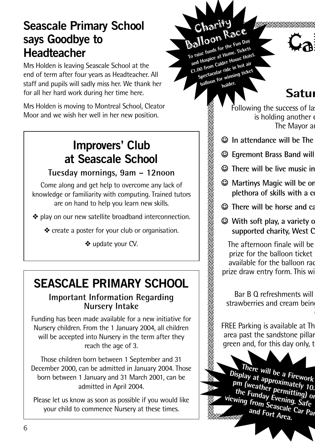#### **Seascale Primary School says Goodbye to Headteacher**

Mrs Holden is leaving Seascale School at the end of term after four years as Headteacher. All staff and pupils will sadly miss her. We thank her for all her hard work during her time here.

Mrs Holden is moving to Montreal School, Cleator Moor and we wish her well in her new position.

#### **Improvers' Club at Seascale School**

#### **Tuesday mornings, 9am – 12noon**

Come along and get help to overcome any lack of knowledge or familiarity with computing. Trained tutors are on hand to help you learn new skills.

❖ play on our new satellite broadband interconnection.

❖ create a poster for your club or organisation.

❖ update your CV.

## **SEASCALE PRIMARY SCHOOL**

#### **Important Information Regarding Nursery Intake**

Funding has been made available for a new initiative for Nursery children. From the 1 January 2004, all children will be accepted into Nursery in the term after they reach the age of 3.

Those children born between 1 September and 31 December 2000, can be admitted in January 2004. Those born between 1 January and 31 March 2001, can be admitted in April 2004.

Please let us know as soon as possible if you would like your child to commence Nursery at these times.

Charitry<br>
Charitry<br>
Charitry<br>
Balloche funds for the Fun Day<br>
To raise funds for the Fun Day<br>
To raise theme.<br>
To from Calder House Hotel.<br>
En our from mining ticket<br>
Following the suce<br>
To house.<br>
Following the suce<br>
is h Balloon Race **To raise funds for the Fun Day and Hospice at Home. Tickets** o raise in the at Home.<br>
and Hospice at House Hotel.<br> **£1.00** from Calder House in hot air **Spectacular ride in hot air balloon for winning ticket holder.**

Charity

### **Satur**

 $C_{\mathbf{a}}$ 

Following the success of la is holding another The Mayor an

- J **In attendance will be The Ragtime Rascals, last year's popular jazz band.**
- $\odot$  **Egremont Brass Band will**
- $\odot$  There will be live music in
- <sup>©</sup> Martinys Magic will be or **plethora** of skills with a combined
- $\odot$  There will be horse and ca
- **With soft play, a variety of** supported charity. West C

The afternoon finale will be prize for the balloon ticket available for the balloon race prize draw entry form. This wind

 $Bar B O$  refreshments will strawberries and cream being

FREE Parking is available at The area past the sandstone pillar green and, for this day only, the forest

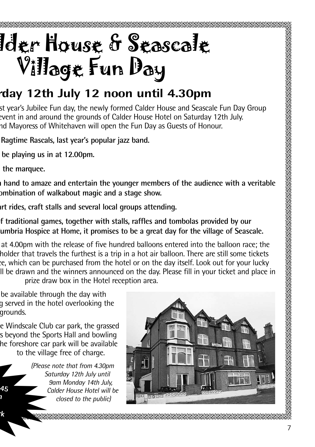# lder House & Seascale Village Fun Day

### **Saturday 12th July 12 noon until 4.30pm**

st year's Jubilee Fun day, the newly formed Calder House and Seascale Fun Day Group event in and around the grounds of Calder House Hotel on Saturday 12th July. nd Mayoress of Whitehaven will open the Fun Day as Guests of Honour.

- J **In attendance will be The Ragtime Rascals, last year's popular jazz band.**
- **be playing us in at 12.00pm.**
- **the marquee.**

**Display at approximately 10.45 pm (weather permitting) on**

**viewing from Seascale Car Park**

I hand to amaze and entertain the younger members of the audience with a veritable **plethora of skills with a combination of walkabout magic and a stage show.**

J **There will be horse and cart rides, craft stalls and several local groups attending.**

f traditional games, together with stalls, raffles and tombolas provided by our umbria Hospice at Home, it promises to be a great day for the village of Seascale.

at 4.00pm with the release of five hundred balloons entered into the balloon race; the holder that travels the furthest is a trip in a hot air balloon. There are still some tickets in a trip in a h ce, which can be purchased from the hotel or on the day itself. Look out for your lucky II be drawn and the winners announced on the day. Please fill in your ticket and place in prize draw box in the Hotel reception area.

be available through the day with a served in the hotel overlooking the grounds.

e Windscale Club car park, the grassed s beyond the Sports Hall and bowling he foreshore car park will be available to the village free of charge.

*(Please note that from 4.30pm Saturday 12th July until 9am Monday 14th July, Calder House Hotel will be* Are foreshore car park will be availat<br>to the village free of charge.<br>(Please note that from 4.30pr<br>Saturday 12th July until<br>9am Monday 14th July<br>Calder House Hotel will<br>closed to the public)

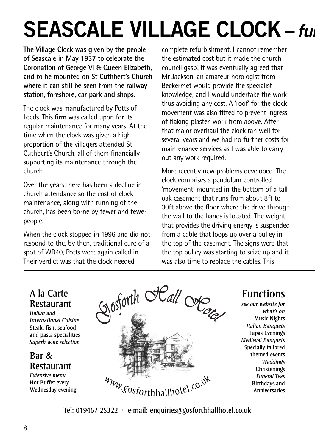# **SEASCALE VILLAGE CLOCK -** *full*

**The Village Clock was given by the people of Seascale in May 1937 to celebrate the Coronation of George VI & Queen Elizabeth, and to be mounted on St Cuthbert's Church where it can still be seen from the railway station, foreshore, car park and shops.**

The clock was manufactured by Potts of Leeds. This firm was called upon for its regular maintenance for many years. At the time when the clock was given a high proportion of the villagers attended St Cuthbert's Church, all of them financially supporting its maintenance through the church.

Over the years there has been a decline in church attendance so the cost of clock maintenance, along with running of the church, has been borne by fewer and fewer people.

When the clock stopped in 1996 and did not respond to the, by then, traditional cure of a spot of WD40, Potts were again called in. Their verdict was that the clock needed

complete refurbishment. I cannot remember the estimated cost but it made the church council gasp! It was eventually agreed that Mr Jackson, an amateur horologist from Beckermet would provide the specialist knowledge, and I would undertake the work thus avoiding any cost. A 'roof' for the clock movement was also fitted to prevent ingress of flaking plaster-work from above. After that major overhaul the clock ran well for several years and we had no further costs for maintenance services as I was able to carry out any work required.

More recently new problems developed. The clock comprises a pendulum controlled 'movement' mounted in the bottom of a tall oak casement that runs from about 8ft to 30ft above the floor where the drive through the wall to the hands is located. The weight that provides the driving energy is suspended from a cable that loops up over a pulley in the top of the casement. The signs were that the top pulley was starting to seize up and it was also time to replace the cables. This

#### A la Carte Restaurant

*Italian and International Cuisine* Steak, fish, seafood and pasta specialities *Superb wine selection*

#### Bar & Restaurant

*Extensive menu* Hot Buffet every Wednesday evening



#### Functions

*see our website for what's on* Music Nights *Italian Banquets* Tapas Evenings *Medieval Banquets* Specially tailored themed events *Weddings* **Christenings** *Funeral Teas* Birthdays and Anniversaries

Tel: 019467 25322  $\cdot$  e-mail: enquiries@gosforthhallhotel.co.uk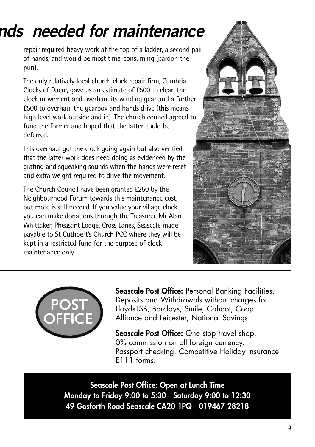# **SEASCALE VILLAGE CLOCK –** *funds needed for maintenance*

repair required heavy work at the top of a ladder, a second pair of hands, and would be most time-consuming (pardon the pun).

The only relatively local church clock repair firm, Cumbria Clocks of Dacre, gave us an estimate of £500 to clean the clock movement and overhaul its winding gear and a further £500 to overhaul the gearbox and hands drive (this means high level work outside and in). The church council agreed to fund the former and hoped that the latter could be deferred.

This overhaul got the clock going again but also verified that the latter work does need doing as evidenced by the grating and squeaking sounds when the hands were reset and extra weight required to drive the movement.

The Church Council have been granted £250 by the Neighbourhood Forum towards this maintenance cost, but more is still needed. If you value your village clock you can make donations through the Treasurer, Mr Alan Whittaker, Pheasant Lodge, Cross Lanes, Seascale made payable to St Cuthbert's Church PCC where they will be kept in a restricted fund for the purpose of clock maintenance only.





**Seascale Post Office:** Personal Banking Facilities. Deposits and Withdrawals without charges for LloydsTSB, Barclays, Smile, Cahoot, Coop Alliance and Leicester, National Savings.

**Seascale Post Office:** One stop travel shop. 0% commission on all foreign currency. Passport checking. Competitive Holiday Insurance. E111 forms.

**Seascale Post Office: Open at Lunch Time Monday to Friday 9:00 to 5:30 Saturday 9:00 to 12:30 49 Gosforth Road Seascale CA20 1PQ 019467 28218**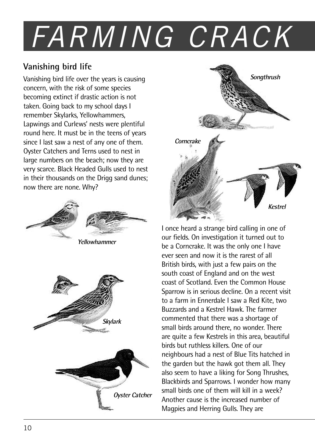# *FARMING CRACK*

#### **Vanishing bird life**

Vanishing bird life over the years is causing concern, with the risk of some species becoming extinct if drastic action is not taken. Going back to my school days I remember Skylarks, Yellowhammers, Lapwings and Curlews' nests were plentiful round here. It must be in the teens of years since I last saw a nest of any one of them. Oyster Catchers and Terns used to nest in large numbers on the beach; now they are very scarce. Black Headed Gulls used to nest in their thousands on the Drigg sand dunes; now there are none. Why?



**Yellowhammer**







I once heard a strange bird calling in one of our fields. On investigation it turned out to be a Corncrake. It was the only one I have ever seen and now it is the rarest of all British birds, with just a few pairs on the south coast of England and on the west coast of Scotland. Even the Common House Sparrow is in serious decline. On a recent visit to a farm in Ennerdale I saw a Red Kite, two Buzzards and a Kestrel Hawk. The farmer commented that there was a shortage of small birds around there, no wonder. There are quite a few Kestrels in this area, beautiful birds but ruthless killers. One of our neighbours had a nest of Blue Tits hatched in the garden but the hawk got them all. They also seem to have a liking for Song Thrushes, Blackbirds and Sparrows. I wonder how many small birds one of them will kill in a week? Another cause is the increased number of Magpies and Herring Gulls. They are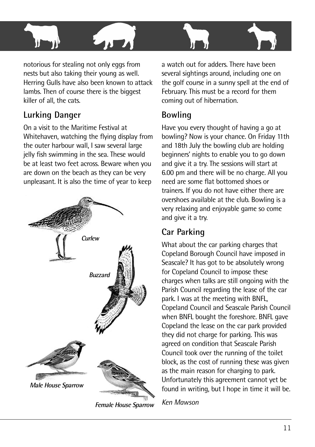

notorious for stealing not only eggs from nests but also taking their young as well. Herring Gulls have also been known to attack lambs. Then of course there is the biggest killer of all, the cats.

#### **Lurking Danger**

On a visit to the Maritime Festival at Whitehaven, watching the flying display from the outer harbour wall, I saw several large jelly fish swimming in the sea. These would be at least two feet across. Beware when you are down on the beach as they can be very unpleasant. It is also the time of year to keep

![](_page_10_Figure_4.jpeg)

**Female House Sparrow**

a watch out for adders. There have been several sightings around, including one on the golf course in a sunny spell at the end of February. This must be a record for them coming out of hibernation.

#### **Bowling**

Have you every thought of having a go at bowling? Now is your chance. On Friday 11th and 18th July the bowling club are holding beginners' nights to enable you to go down and give it a try. The sessions will start at 6.00 pm and there will be no charge. All you need are some flat bottomed shoes or trainers. If you do not have either there are overshoes available at the club. Bowling is a very relaxing and enjoyable game so come and give it a try.

#### **Car Parking**

What about the car parking charges that Copeland Borough Council have imposed in Seascale? It has got to be absolutely wrong for Copeland Council to impose these charges when talks are still ongoing with the Parish Council regarding the lease of the car park. I was at the meeting with BNFL, Copeland Council and Seascale Parish Council when BNFL bought the foreshore. BNFL gave Copeland the lease on the car park provided they did not charge for parking. This was agreed on condition that Seascale Parish Council took over the running of the toilet block, as the cost of running these was given as the main reason for charging to park. Unfortunately this agreement cannot yet be found in writing, but I hope in time it will be.

*Ken Mawson*